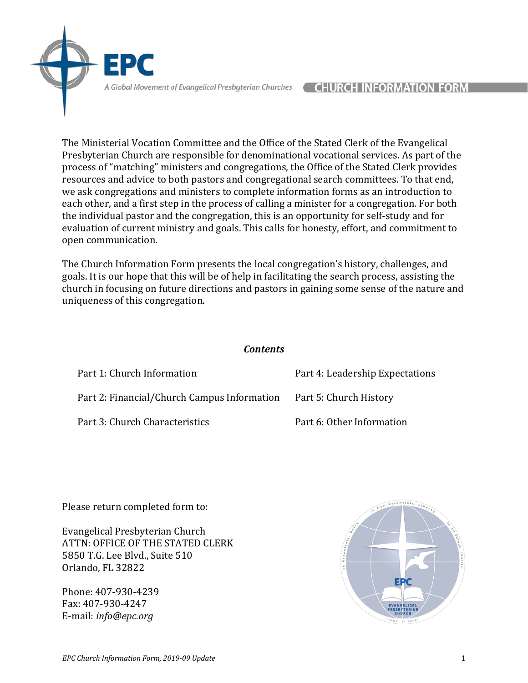The Ministerial Vocation Committee and the Office of the Stated Clerk of the Evangelical Presbyterian Church are responsible for denominational vocational services. As part of the process of "matching" ministers and congregations, the Office of the Stated Clerk provides resources and advice to both pastors and congregational search committees. To that end, we ask congregations and ministers to complete information forms as an introduction to each other, and a first step in the process of calling a minister for a congregation. For both the individual pastor and the congregation, this is an opportunity for self-study and for evaluation of current ministry and goals. This calls for honesty, effort, and commitment to open communication.

The Church Information Form presents the local congregation's history, challenges, and goals. It is our hope that this will be of help in facilitating the search process, assisting the church in focusing on future directions and pastors in gaining some sense of the nature and uniqueness of this congregation.

*Contents* 

| Part 1: Church Information                  | Part 4: Leadership Expectations |
|---------------------------------------------|---------------------------------|
| Part 2: Financial/Church Campus Information | Part 5: Church History          |
| Part 3: Church Characteristics              | Part 6: Other Information       |

Please return completed form to:

Evangelical Presbyterian Church ATTN: OFFICE OF THE STATED CLERK 5850 T.G. Lee Blvd., Suite 510 Orlando, FL 32822

Phone: 407-930-4239 Fax: 407-930-4247 E-mail: *info@epc.org*

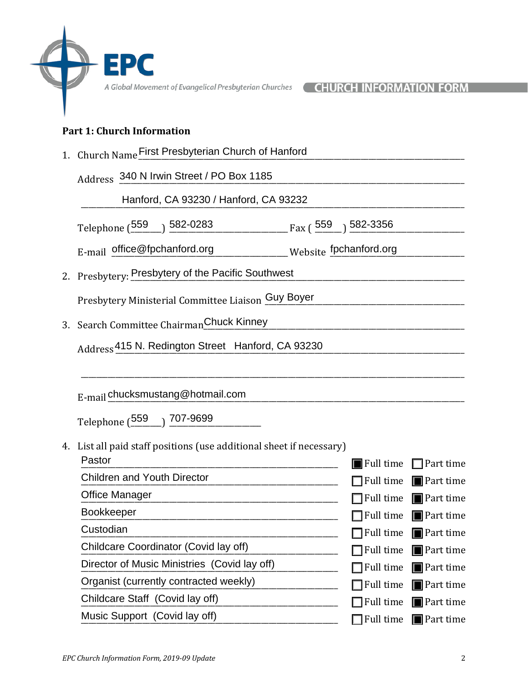### **Part 1: Church Information**

1. Church Name First Presbyterian Church of Hanford

Address 340 N Irwin Street / PO Box 1185<br>Hanford, CA 93230 / Hanford, CA 93232 Hanford, CA 93230 / Hanford, CA 93232

Telephone (\_\_\_\_\_\_\_\_ ) \_\_\_\_\_\_\_\_\_\_\_\_\_\_\_\_\_\_\_\_\_\_\_\_\_\_\_\_\_\_\_ Fax ( \_\_\_\_\_\_\_) \_\_\_\_\_\_\_\_\_\_\_\_\_\_\_\_\_\_\_\_\_\_\_\_\_\_\_\_\_\_ 559 582-0283 559 582-3356

E-mail office@fpchanford.org Website fpchanford.org contains the setting of the setting of the setting of the setting of the setting of the setting of the setting of the setting of the setting of the setting of the setting

2. Presbytery: Presbytery of the Pacific Southwest

Presbytery Ministerial Committee Liaison Guy Boyer

3. Search Committee Chairman Chuck Kinney

Address<sup>415</sup> N. Redington Street Hanford, CA 93230

E-mail \_\_\_\_\_\_\_\_\_\_\_\_\_\_\_\_\_\_\_\_\_\_\_\_\_\_\_\_\_\_\_\_\_\_\_\_\_\_\_\_\_\_\_\_\_\_\_\_\_\_\_\_\_\_\_\_\_\_\_\_\_\_\_\_\_\_\_\_\_\_\_\_\_\_\_\_\_\_\_\_\_\_\_\_\_\_\_\_\_\_\_\_\_ chucksmustang@hotmail.com

Telephone (\_\_\_\_\_\_\_\_) \_\_\_\_\_\_\_\_\_\_\_\_\_\_\_\_\_\_\_\_\_\_\_\_ 559 707-9699

# 4. List all paid staff positions (use additional sheet if necessary)

| $\blacksquare$ Full time $\blacksquare$ Part time |
|---------------------------------------------------|
| $\Box$ Full time $\Box$ Part time                 |
| $\Box$ Full time $\Box$ Part time                 |
| $\Box$ Full time $\Box$ Part time                 |
| $\Box$ Full time $\Box$ Part time                 |
| $\Box$ Full time $\Box$ Part time                 |
| $\Box$ Full time $\Box$ Part time                 |
| $\Box$ Full time $\Box$ Part time                 |
| $\Box$ Full time $\Box$ Part time                 |
| $\blacksquare$ Full time $\blacksquare$ Part time |
|                                                   |

\_\_\_\_\_\_\_\_\_\_\_\_\_\_\_\_\_\_\_\_\_\_\_\_\_\_\_\_\_\_\_\_\_\_\_\_\_\_\_\_\_\_\_\_\_\_\_\_\_\_\_\_\_\_\_\_\_\_\_\_\_\_\_\_\_\_\_\_\_\_\_\_\_\_\_\_\_\_\_\_\_\_\_\_\_\_\_\_\_\_\_\_\_\_\_\_\_\_\_\_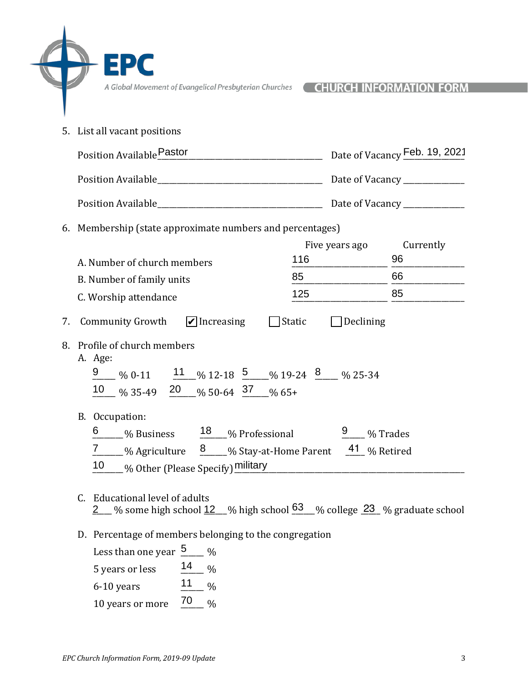EPC

 $\bigoplus$ 

| 5. List all vacant positions                                                                                                                                                                                                                                                                                                                                                              |                  |                 |
|-------------------------------------------------------------------------------------------------------------------------------------------------------------------------------------------------------------------------------------------------------------------------------------------------------------------------------------------------------------------------------------------|------------------|-----------------|
| Position Available Pastor Date of Vacancy Feb. 19, 2021                                                                                                                                                                                                                                                                                                                                   |                  |                 |
|                                                                                                                                                                                                                                                                                                                                                                                           |                  |                 |
|                                                                                                                                                                                                                                                                                                                                                                                           |                  |                 |
| 6. Membership (state approximate numbers and percentages)                                                                                                                                                                                                                                                                                                                                 |                  |                 |
| $116$<br>A. Number of church members                                                                                                                                                                                                                                                                                                                                                      | Five years ago   | Currently<br>96 |
| 85<br>B. Number of family units                                                                                                                                                                                                                                                                                                                                                           |                  | 66              |
| 125<br>C. Worship attendance                                                                                                                                                                                                                                                                                                                                                              |                  | 85              |
| 7. Community Growth $\Box$ Increasing<br>$\Box$ Static<br>8. Profile of church members<br>A. Age:<br>$\frac{9}{2}$ % 0-11 $\frac{11}{2}$ % 12-18 $\frac{5}{2}$ % 19-24 $\frac{8}{2}$ % 25-34<br>10 % 35-49 20 % 50-64 37 % 65+<br>B. Occupation:                                                                                                                                          | $\Box$ Declining |                 |
| $\underbrace{6}$ % Business $\underline{18}$ % Professional $\underline{9}$ % Trades<br>7 _____ % Agriculture 3 ____ % Stay-at-Home Parent 41 % Retired<br>10 you Other (Please Specify) military million and the contract of the contract of the contract of the contract of the contract of the contract of the contract of the contract of the contract of the contract of the contrac |                  |                 |
| C. Educational level of adults<br><u>2___</u> % some high school <u>12__</u> % high school <u>63__</u> % college <u>23_</u> % graduate school                                                                                                                                                                                                                                             |                  |                 |
| D. Percentage of members belonging to the congregation<br>Less than one year $\frac{5}{2}$ %<br>14<br>5 years or less<br>$\frac{0}{0}$<br>$11$<br>$\frac{0}{0}$<br>6-10 years<br>70<br>$\frac{0}{6}$<br>10 years or more                                                                                                                                                                  |                  |                 |

6-10 years  $11 \t%$ 10 years or more  $\frac{70}{9}$  %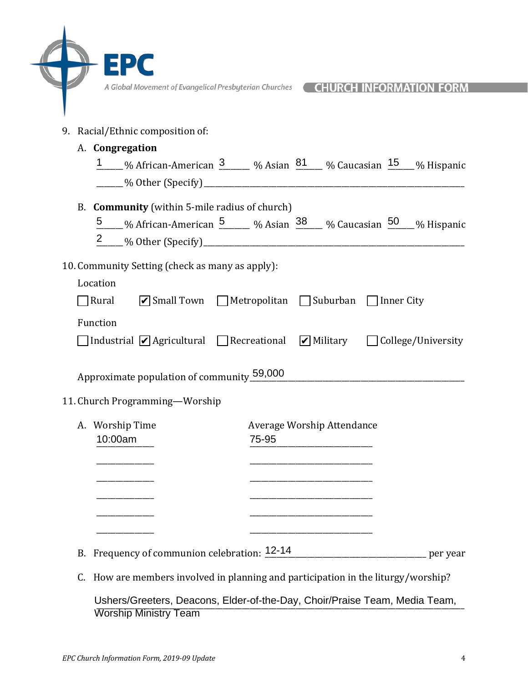|                                                 | A Global Movement of Evangelical Presbyterian Churches<br><b>CHURCH INFORMAT</b>                    |
|-------------------------------------------------|-----------------------------------------------------------------------------------------------------|
| 9. Racial/Ethnic composition of:                |                                                                                                     |
| A. Congregation                                 | 1 % African-American 3 % Asian 81 % Caucasian 15 % Hispanic                                         |
| B. Community (within 5-mile radius of church)   | 5 % African-American 5 % Asian 38 % Caucasian 50 % Hispanic                                         |
| 10. Community Setting (check as many as apply): |                                                                                                     |
| Location                                        |                                                                                                     |
| Rural                                           | ■ Small Town Metropolitan Suburban Inner City                                                       |
|                                                 |                                                                                                     |
| Function                                        |                                                                                                     |
|                                                 | $\Box$ Industrial $\Box$ Agricultural $\Box$ Recreational $\Box$ Military $\Box$ College/University |
|                                                 |                                                                                                     |
| Approximate population of community 59,000      |                                                                                                     |
|                                                 |                                                                                                     |
| 11. Church Programming-Worship                  |                                                                                                     |
| A. Worship Time<br>10:00am                      | Average Worship Attendance<br>75-95                                                                 |
|                                                 |                                                                                                     |
|                                                 |                                                                                                     |
|                                                 |                                                                                                     |
|                                                 |                                                                                                     |
|                                                 |                                                                                                     |
| B. Frequency of communion celebration: 12-14    |                                                                                                     |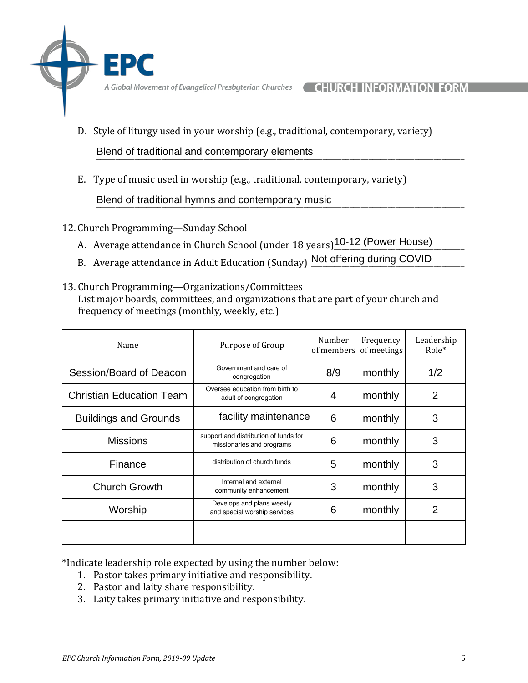D. Style of liturgy used in your worship (e.g., traditional, contemporary, variety)

\_\_\_\_\_\_\_\_\_\_\_\_\_\_\_\_\_\_\_\_\_\_\_\_\_\_\_\_\_\_\_\_\_\_\_\_\_\_\_\_\_\_\_\_\_\_\_\_\_\_\_\_\_\_\_\_\_\_\_\_\_\_\_\_\_\_\_\_\_\_\_\_\_\_\_\_\_\_\_\_\_\_\_\_\_\_\_\_\_\_\_\_\_\_\_\_ Blend of traditional and contemporary elements

E. Type of music used in worship (e.g., traditional, contemporary, variety)

Blend of traditional hymns and contemporary music<br>
<u>Hend of traditional hymns and contemporary music</u>

- 12. Church Programming—Sunday School
	- A. Average attendance in Church School (under 18 years)<sup>10-12</sup> (Power House)
	- B. Average attendance in Adult Education (Sunday) Not offering during COVID
- 13. Church Programming—Organizations/Committees List major boards, committees, and organizations that are part of your church and frequency of meetings (monthly, weekly, etc.)

| Name                            | Purpose of Group                                                   | Number<br>of members | Frequency<br>of meetings | Leadership<br>$Role*$ |
|---------------------------------|--------------------------------------------------------------------|----------------------|--------------------------|-----------------------|
| Session/Board of Deacon         | Government and care of<br>8/9<br>monthly<br>congregation           |                      | 1/2                      |                       |
| <b>Christian Education Team</b> | Oversee education from birth to<br>adult of congregation           | 4                    | monthly                  | 2                     |
| <b>Buildings and Grounds</b>    | facility maintenance                                               | 6                    | monthly                  | 3                     |
| <b>Missions</b>                 | support and distribution of funds for<br>missionaries and programs | 6                    | monthly                  | 3                     |
| Finance                         | distribution of church funds                                       | 5                    | monthly                  | 3                     |
| <b>Church Growth</b>            | Internal and external<br>community enhancement                     | 3                    | monthly                  | 3                     |
| Worship                         | Develops and plans weekly<br>and special worship services          | 6                    | monthly                  | 2                     |
|                                 |                                                                    |                      |                          |                       |

\*Indicate leadership role expected by using the number below:

- 1. Pastor takes primary initiative and responsibility.
- 2. Pastor and laity share responsibility.
- 3. Laity takes primary initiative and responsibility.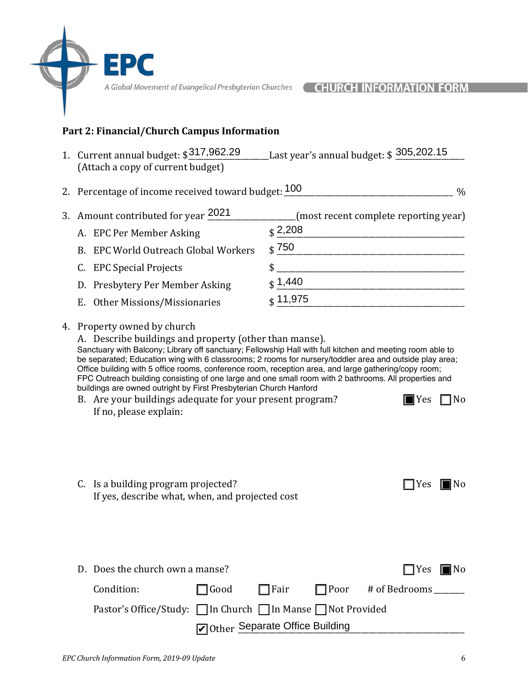### **Part 2: Financial/Church Campus Information**

1. Current annual budget:  $\frac{$317,962.29}{}$  Last year's annual budget:  $\$$  305,202.15 (Attach a copy of current budget)

2. Percentage of income received toward budget:  $\underline{100}$  \_\_\_\_\_\_\_\_\_\_\_\_\_\_\_\_\_\_\_\_\_\_\_\_\_\_\_\_\_\_\_\_\_ %

| 3. Amount contributed for year 2021  | (most recent complete reporting year) |
|--------------------------------------|---------------------------------------|
| A. EPC Per Member Asking             | $\binom{2,208}{ }$                    |
| B. EPC World Outreach Global Workers | $\frac{1}{3}$ 750                     |
| C. EPC Special Projects              |                                       |
| D. Presbytery Per Member Asking      | $\binom{6}{3}$ 1,440                  |
| E. Other Missions/Missionaries       | $\binom{4}{3}$ 11,975                 |

#### 4. Property owned by church

E D

A. Describe buildings and property (other than manse). Sanctuary with Balcony; Library off sanctuary; Fellowship Hall with full kitchen and meeting room able to be separated; Education wing with 6 classrooms; 2 rooms for nursery/toddler area and outside play area; Office building with 5 office rooms, conference room, reception area, and large gathering/copy room; FPC Outreach building consisting of one large and one small room with 2 bathrooms. All properties and buildings are owned outright by First Presbyterian Church Hanford

| B. Are your buildings adequate for your present program? | $\blacksquare$ Yes $\blacksquare$ No |  |
|----------------------------------------------------------|--------------------------------------|--|
| If no, please explain:                                   |                                      |  |

| C. Is a building program projected?             | $\Box$ Yes $\blacksquare$ No |  |
|-------------------------------------------------|------------------------------|--|
| If yes, describe what, when, and projected cost |                              |  |

| C. Is a building program projected?                          |             |                                | $\Box$ Yes $\blacksquare$ No |  |
|--------------------------------------------------------------|-------------|--------------------------------|------------------------------|--|
| If yes, describe what, when, and projected cost              |             |                                |                              |  |
|                                                              |             |                                |                              |  |
|                                                              |             |                                |                              |  |
|                                                              |             |                                |                              |  |
|                                                              |             |                                |                              |  |
| D. Does the church own a manse?                              |             |                                | $\Box$ Yes $\blacksquare$ No |  |
| Condition:                                                   | $\Box$ Good | $\Box$ Fair                    | □ Poor # of Bedrooms         |  |
| Pastor's Office/Study: □ In Church □ In Manse □ Not Provided |             |                                |                              |  |
|                                                              |             | Other Separate Office Building |                              |  |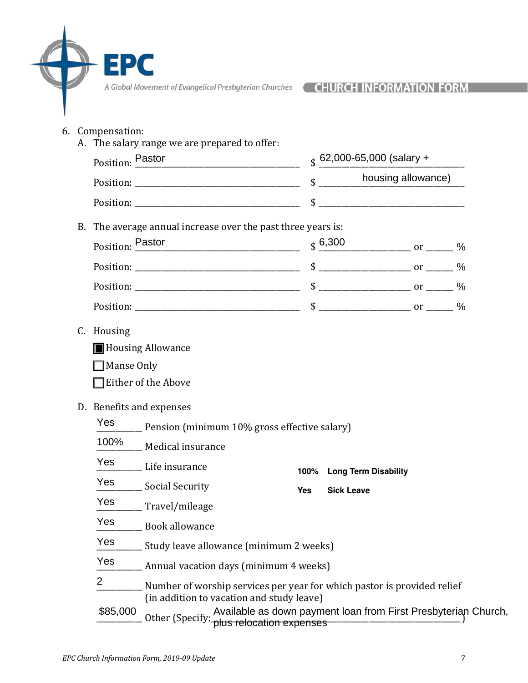- 6. Compensation:
	- A. The salary range we are prepared to offer: Position:  $\frac{\text{Pastor}}{\text{Pastor}}$ Position: \_\_\_\_\_\_\_\_\_\_\_\_\_\_\_\_\_\_\_\_\_\_\_\_\_\_\_\_\_\_\_\_\_\_\_\_\_\_\_\_\_\_\_ \$ \_\_\_\_\_\_\_\_\_\_\_\_\_\_\_\_\_\_\_\_\_\_\_\_\_\_\_\_\_\_\_\_\_\_\_\_\_\_ Position: \_\_\_\_\_\_\_\_\_\_\_\_\_\_\_\_\_\_\_\_\_\_\_\_\_\_\_\_\_\_\_\_\_\_\_\_\_\_\_\_\_\_\_ \$ \_\_\_\_\_\_\_\_\_\_\_\_\_\_\_\_\_\_\_\_\_\_\_\_\_\_\_\_\_\_\_\_\_\_\_\_\_\_ B. The average annual increase over the past three years is: Position:  $\frac{\text{Pastor}}{\text{Pastor}}$  \$  $\frac{6,300}{\text{Pastor}}$  or \_\_\_\_ % Position: \_\_\_\_\_\_\_\_\_\_\_\_\_\_\_\_\_\_\_\_\_\_\_\_\_\_\_\_\_\_\_\_\_\_\_\_\_\_\_\_\_\_\_ \$ \_\_\_\_\_\_\_\_\_\_\_\_\_\_\_\_\_\_\_\_\_\_\_\_ or \_\_\_\_\_\_\_ % Position: \_\_\_\_\_\_\_\_\_\_\_\_\_\_\_\_\_\_\_\_\_\_\_\_\_\_\_\_\_\_\_\_\_\_\_\_\_\_\_\_\_\_\_ \$ \_\_\_\_\_\_\_\_\_\_\_\_\_\_\_\_\_\_\_\_\_\_\_\_ or \_\_\_\_\_\_\_ % Position: the set of the set of the set of the set of the set of the set of the set of the set of the set of the set of the set of the set of the set of the set of the set of the set of the set of the set of the set of the C. Housing ■ Housing Allowance  $\Box$  Manse Only  $\Box$  Either of the Above D. Benefits and expenses Pension (minimum 10% gross effective salary) Medical insurance Life insurance Social Security \_\_\_\_\_\_\_\_\_\_\_\_ Travel/mileage \_\_\_\_\_\_\_\_\_\_\_\_ Book allowance Study leave allowance (minimum 2 weeks) Annual vacation days (minimum 4 weeks) Number of worship services per year for which pastor is provided relief (in addition to vacation and study leave) \$85,000 Available as down payment loan from First Presbyteriar (Specify: https://www.bayment.loan.from.First Presbyteriary  $\frac{1}{\$}$  62,000-65,000 (salary +  $_$  6,300 Yes 100% Yes Yes Yes Yes Yes Yes 2 **100% Long Term Disability Yes Sick Leave** Available as down payment loan from First Presbyterian Church,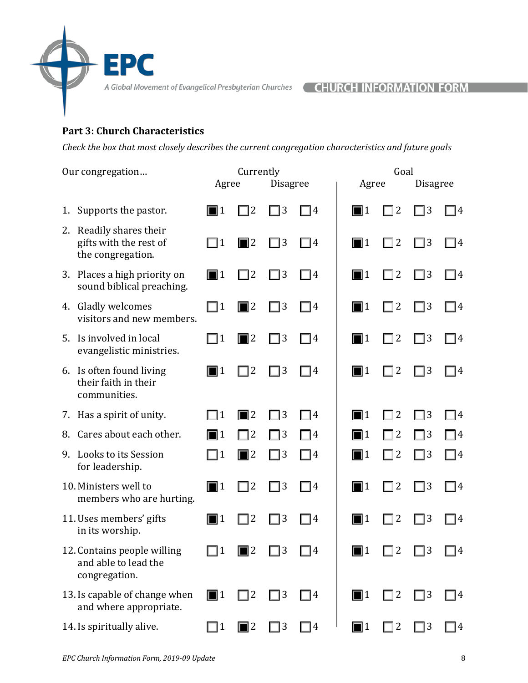# **Part 3: Church Characteristics**

EPC

*Check* the box that most closely describes the current congregation characteristics and future goals

Our congregation... Currently Currently Goal

|    |                                                                        | Agree            |                  | <b>Disagree</b> |                   | Agree            |                | <b>Disagree</b> |            |
|----|------------------------------------------------------------------------|------------------|------------------|-----------------|-------------------|------------------|----------------|-----------------|------------|
| 1. | Supports the pastor.                                                   | II 1             | $ 2\rangle$      | $\sqsupset$ 3   | $\lceil 4 \rceil$ | $\blacksquare$ 1 | $\overline{2}$ | 73              | 14         |
|    | 2. Readily shares their<br>gifts with the rest of<br>the congregation. | $\sqcap$ 1       | $\blacksquare$ 2 | $\Box$ 3        | $\Box$ 4          | $\blacksquare$ 1 | 72             | $\sqsupset$ 3   | $\sqcap 4$ |
|    | 3. Places a high priority on<br>sound biblical preaching.              | $\blacksquare$ 1 | $\Box$ 2         | $\Box$ 3        | $\Box$ 4          | $\Box$ 1         | $\Box$ 2       | $\Box$ 3        | $\Box$ 4   |
|    | 4. Gladly welcomes<br>visitors and new members.                        | $\Box$ 1         | $\blacksquare$ 2 | $\Box$ 3        | $\Box$ 4          | $\blacksquare$ 1 | $\Box$ 2       | $\Box$ 3        | $\Box$ 4   |
| 5. | Is involved in local<br>evangelistic ministries.                       | $\Box$ 1         | $\blacksquare$ 2 | $\Box$ 3        | $\Box$ 4          | $\Box$ 1         | $\Box$ 2       | $\square$ 3     | $\Box$ 4   |
|    | 6. Is often found living<br>their faith in their<br>communities.       | $\blacksquare$ 1 | 72               | $\Box$ 3        | $\sqsupset$ 4     | $\blacksquare$ 1 | 72             | ヿ3              | $\Box$ 4   |
|    | 7. Has a spirit of unity.                                              | $\Box$ 1         | $\blacksquare$ 2 | $\Box$ 3        | $\Box$ 4          | $\blacksquare$ 1 | $\sqsupset$ 2  | ヿ3              | $\Box$ 4   |
| 8. | Cares about each other.                                                | $\blacksquare$ 1 | $\Box$ 2         | $\Box$ 3        | $\Box$ 4          | $\blacksquare$ 1 | $\sqsupset$ 2  | $\Box$ 3        | $\Box$ 4   |
| 9. | Looks to its Session<br>for leadership.                                | $\Box$ 1         | $\blacksquare$ 2 | $\square$ 3     | $\Box$ 4          | $\blacksquare$ 1 | ヿ2             | ∃ 3             | $\Box$ 4   |
|    | 10. Ministers well to<br>members who are hurting.                      | $\blacksquare$ 1 | $\Box$ 2         | $\Box$ 3        | $\Box$ 4          | $\blacksquare$ 1 | ヿ2             | $\Box$ 3        | $\Box$ 4   |
|    | 11. Uses members' gifts<br>in its worship.                             | $\blacksquare$ 1 | <sup>2</sup>     | $\Box$ 3        | $\Box$ 4          | $\blacksquare$ 1 | 2              | 3               | - 14       |
|    | 12. Contains people willing<br>and able to lead the<br>congregation.   | $\Box$ 1         | <sup>2</sup>     | $\sqsupset$ 3   | 4                 | 11               | $\overline{2}$ | $\overline{3}$  | 14         |
|    | 13. Is capable of change when<br>and where appropriate.                | $\blacksquare$ 1 | $\sqsupset$ 2    | $\Box$ 3        | $\Box$ 4          | $\blacksquare$ 1 | $\sqsupset$ 2  | $\Box$ 3        | 74         |
|    | 14. Is spiritually alive.                                              | 11               | $\blacksquare$ 2 | $\Box$ 3        | $\Box$ 4          | $\blacksquare$ 1 | 2              | $\Box$ 3        | 74         |
|    |                                                                        |                  |                  |                 |                   |                  |                |                 |            |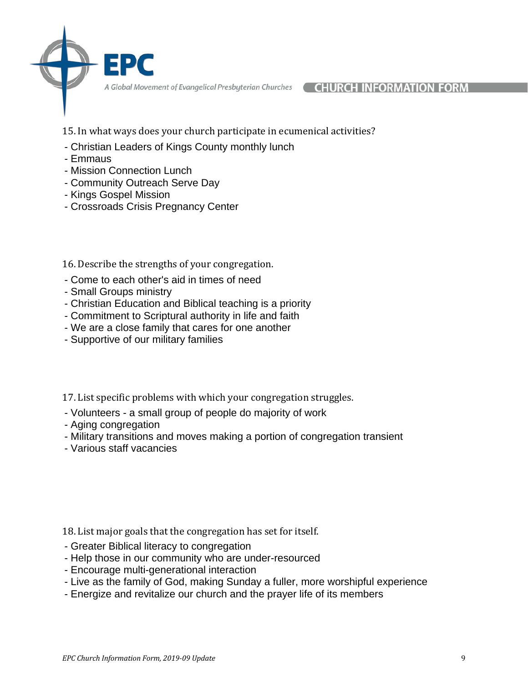15. In what ways does your church participate in ecumenical activities?

- Christian Leaders of Kings County monthly lunch
- Emmaus
- Mission Connection Lunch
- Community Outreach Serve Day
- Kings Gospel Mission
- Crossroads Crisis Pregnancy Center

16. Describe the strengths of your congregation.

- Come to each other's aid in times of need
- Small Groups ministry
- Christian Education and Biblical teaching is a priority
- Commitment to Scriptural authority in life and faith
- We are a close family that cares for one another
- Supportive of our military families

17. List specific problems with which your congregation struggles.

- Volunteers a small group of people do majority of work
- Aging congregation
- Military transitions and moves making a portion of congregation transient
- Various staff vacancies

18. List major goals that the congregation has set for itself.

- Greater Biblical literacy to congregation
- Help those in our community who are under-resourced
- Encourage multi-generational interaction
- Live as the family of God, making Sunday a fuller, more worshipful experience
- Energize and revitalize our church and the prayer life of its members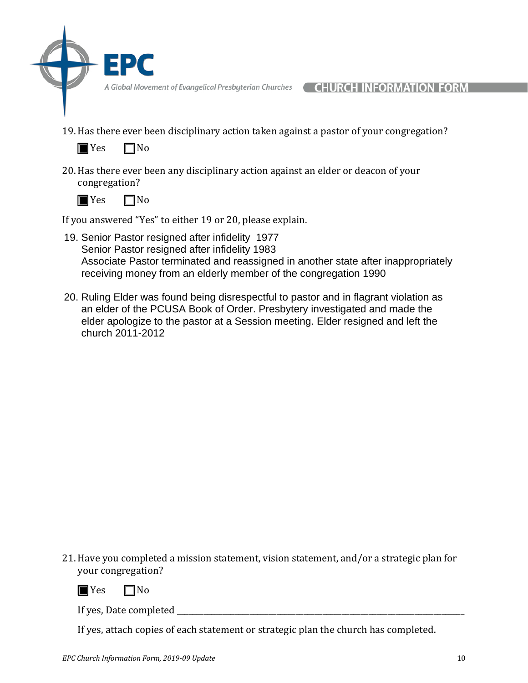- 
- 19. Has there ever been disciplinary action taken against a pastor of your congregation?



20. Has there ever been any disciplinary action against an elder or deacon of your congregation?



If you answered "Yes" to either 19 or 20, please explain.

- 19. Senior Pastor resigned after infidelity 1977 Senior Pastor resigned after infidelity 1983 Associate Pastor terminated and reassigned in another state after inappropriately receiving money from an elderly member of the congregation 1990
- 20. Ruling Elder was found being disrespectful to pastor and in flagrant violation as an elder of the PCUSA Book of Order. Presbytery investigated and made the elder apologize to the pastor at a Session meeting. Elder resigned and left the church 2011-2012

21. Have you completed a mission statement, vision statement, and/or a strategic plan for your congregation?



 $\blacksquare$  Yes  $\blacksquare$  No

If yes, Date completed \_\_\_\_\_\_\_\_\_\_\_\_\_\_\_\_\_\_\_\_\_\_\_\_\_\_\_\_\_\_\_\_\_\_\_\_\_\_\_\_\_\_\_\_\_\_\_\_\_\_\_\_\_\_\_\_\_\_\_\_\_\_\_\_\_\_\_\_\_\_\_\_\_\_\_

If yes, attach copies of each statement or strategic plan the church has completed.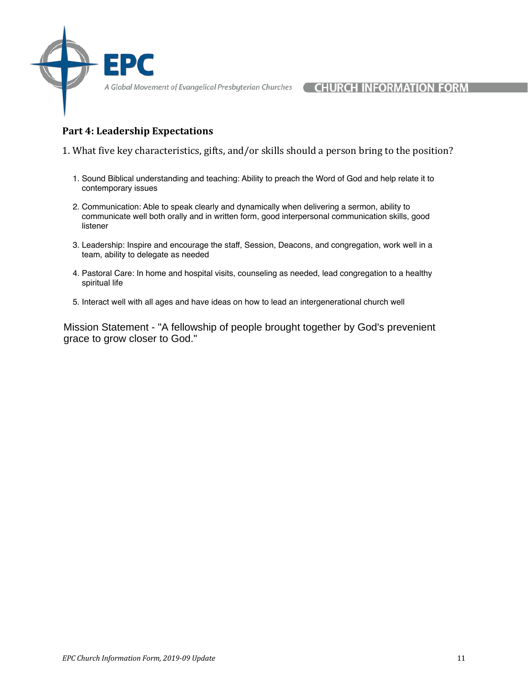## **Part 4: Leadership Expectations**

- 1. What five key characteristics, gifts, and/or skills should a person bring to the position?
	- 1. Sound Biblical understanding and teaching: Ability to preach the Word of God and help relate it to contemporary issues
	- 2. Communication: Able to speak clearly and dynamically when delivering a sermon, ability to communicate well both orally and in written form, good interpersonal communication skills, good listener
	- 3. Leadership: Inspire and encourage the staff, Session, Deacons, and congregation, work well in a team, ability to delegate as needed
	- 4. Pastoral Care: In home and hospital visits, counseling as needed, lead congregation to a healthy spiritual life
	- 5. Interact well with all ages and have ideas on how to lead an intergenerational church well

Mission Statement - "A fellowship of people brought together by God's prevenient grace to grow closer to God."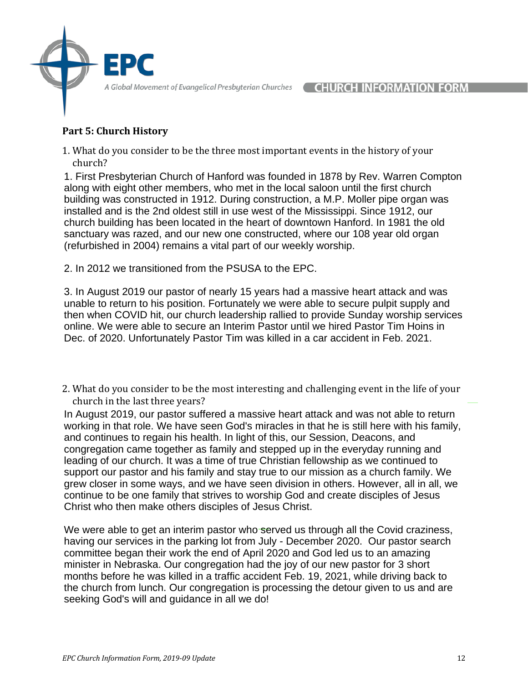# **Part 5: Church History**

1. What do you consider to be the three most important events in the history of your church?

1. First Presbyterian Church of Hanford was founded in 1878 by Rev. Warren Compton along with eight other members, who met in the local saloon until the first church building was constructed in 1912. During construction, a M.P. Moller pipe organ was installed and is the 2nd oldest still in use west of the Mississippi. Since 1912, our church building has been located in the heart of downtown Hanford. In 1981 the old sanctuary was razed, and our new one constructed, where our 108 year old organ (refurbished in 2004) remains a vital part of our weekly worship.

2. In 2012 we transitioned from the PSUSA to the EPC.

3. In August 2019 our pastor of nearly 15 years had a massive heart attack and was unable to return to his position. Fortunately we were able to secure pulpit supply and then when COVID hit, our church leadership rallied to provide Sunday worship services online. We were able to secure an Interim Pastor until we hired Pastor Tim Hoins in Dec. of 2020. Unfortunately Pastor Tim was killed in a car accident in Feb. 2021.

2. What do you consider to be the most interesting and challenging event in the life of your church in the last three years?

In August 2019, our pastor suffered a massive heart attack and was not able to return working in that role. We have seen God's miracles in that he is still here with his family, and continues to regain his health. In light of this, our Session, Deacons, and congregation came together as family and stepped up in the everyday running and leading of our church. It was a time of true Christian fellowship as we continued to support our pastor and his family and stay true to our mission as a church family. We grew closer in some ways, and we have seen division in others. However, all in all, we continue to be one family that strives to worship God and create disciples of Jesus Christ who then make others disciples of Jesus Christ.

We were able to get an interim pastor who served us through all the Covid craziness, having our services in the parking lot from July - December 2020. Our pastor search committee began their work the end of April 2020 and God led us to an amazing minister in Nebraska. Our congregation had the joy of our new pastor for 3 short months before he was killed in a traffic accident Feb. 19, 2021, while driving back to the church from lunch. Our congregation is processing the detour given to us and are seeking God's will and guidance in all we do!